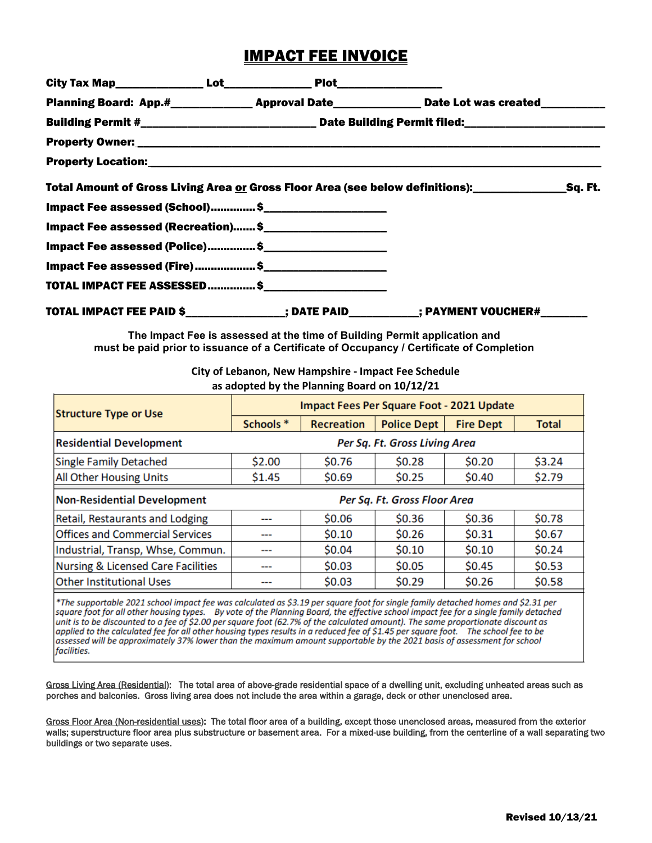# IMPACT FEE INVOICE

|                                     |  |  | Planning Board: App.#_______________Approval Date________________Date Lot was created____________ |  |  |  |  |
|-------------------------------------|--|--|---------------------------------------------------------------------------------------------------|--|--|--|--|
|                                     |  |  |                                                                                                   |  |  |  |  |
|                                     |  |  |                                                                                                   |  |  |  |  |
|                                     |  |  |                                                                                                   |  |  |  |  |
|                                     |  |  | Total Amount of Gross Living Area or Gross Floor Area (see below definitions): Sq. Ft.            |  |  |  |  |
| Impact Fee assessed (School)\$      |  |  |                                                                                                   |  |  |  |  |
| Impact Fee assessed (Recreation) \$ |  |  |                                                                                                   |  |  |  |  |
| Impact Fee assessed (Police) \$     |  |  |                                                                                                   |  |  |  |  |
|                                     |  |  |                                                                                                   |  |  |  |  |
|                                     |  |  |                                                                                                   |  |  |  |  |
|                                     |  |  | TOTAL IMPACT FEE PAID \$_______________; DATE PAID__________; PAYMENT VOUCHER#_______             |  |  |  |  |

**The Impact Fee is assessed at the time of Building Permit application and must be paid prior to issuance of a Certificate of Occupancy / Certificate of Completion**

> **City of Lebanon, New Hampshire - Impact Fee Schedule as adopted by the Planning Board on 10/12/21**

| <b>Structure Type or Use</b>                                       | Impact Fees Per Square Foot - 2021 Update |                   |                    |                  |              |  |  |
|--------------------------------------------------------------------|-------------------------------------------|-------------------|--------------------|------------------|--------------|--|--|
|                                                                    | Schools *                                 | <b>Recreation</b> | <b>Police Dept</b> | <b>Fire Dept</b> | <b>Total</b> |  |  |
| <b>Residential Development</b>                                     | Per Sq. Ft. Gross Living Area             |                   |                    |                  |              |  |  |
| Single Family Detached                                             | \$2.00                                    | \$0.76            | \$0.28             | \$0.20           | \$3.24       |  |  |
| <b>All Other Housing Units</b>                                     | \$1.45                                    | \$0.69            | \$0.25             | \$0.40           | \$2.79       |  |  |
| <b>Non-Residential Development</b><br>Per Sq. Ft. Gross Floor Area |                                           |                   |                    |                  |              |  |  |
| Retail, Restaurants and Lodging                                    | ---                                       | \$0.06            | \$0.36             | \$0.36           | \$0.78       |  |  |
| <b>Offices and Commercial Services</b>                             | ---                                       | \$0.10            | \$0.26             | \$0.31           | \$0.67       |  |  |
| Industrial, Transp, Whse, Commun.                                  |                                           | \$0.04            | \$0.10             | \$0.10           | \$0.24       |  |  |
| <b>Nursing &amp; Licensed Care Facilities</b>                      | ---                                       | \$0.03            | \$0.05             | \$0.45           | \$0.53       |  |  |
| <b>Other Institutional Uses</b>                                    | ---                                       | \$0.03            | \$0.29             | \$0.26           | \$0.58       |  |  |

\*The supportable 2021 school impact fee was calculated as \$3.19 per square foot for single family detached homes and \$2.31 per square foot for all other housing types. By vote of the Planning Board, the effective school impact fee for a single family detached unit is to be discounted to a fee of \$2.00 per square foot (62.7% of the calculated amount). The same proportionate discount as applied to the calculated fee for all other housing types results in a reduced fee of \$1.45 per square foot. The school fee to be assessed will be approximately 37% lower than the maximum amount supportable by the 2021 basis of assessment for school facilities.

Gross Living Area (Residential): The total area of above-grade residential space of a dwelling unit, excluding unheated areas such as porches and balconies. Gross living area does not include the area within a garage, deck or other unenclosed area.

Gross Floor Area (Non-residential uses): The total floor area of a building, except those unenclosed areas, measured from the exterior walls; superstructure floor area plus substructure or basement area. For a mixed-use building, from the centerline of a wall separating two buildings or two separate uses.